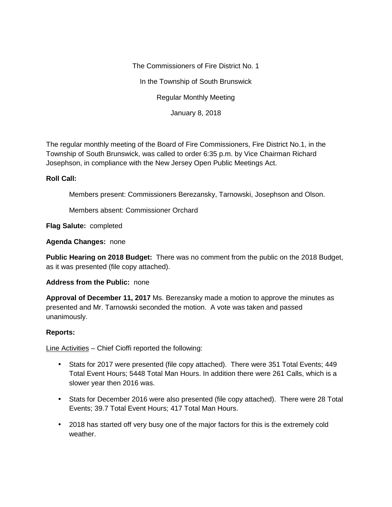The Commissioners of Fire District No. 1 In the Township of South Brunswick Regular Monthly Meeting January 8, 2018

The regular monthly meeting of the Board of Fire Commissioners, Fire District No.1, in the Township of South Brunswick, was called to order 6:35 p.m. by Vice Chairman Richard Josephson, in compliance with the New Jersey Open Public Meetings Act.

# **Roll Call:**

Members present: Commissioners Berezansky, Tarnowski, Josephson and Olson.

Members absent: Commissioner Orchard

## **Flag Salute:** completed

### **Agenda Changes:** none

**Public Hearing on 2018 Budget:** There was no comment from the public on the 2018 Budget, as it was presented (file copy attached).

### **Address from the Public:** none

**Approval of December 11, 2017** Ms. Berezansky made a motion to approve the minutes as presented and Mr. Tarnowski seconded the motion. A vote was taken and passed unanimously.

### **Reports:**

Line Activities – Chief Cioffi reported the following:

- Stats for 2017 were presented (file copy attached). There were 351 Total Events; 449 Total Event Hours; 5448 Total Man Hours. In addition there were 261 Calls, which is a slower year then 2016 was.
- Stats for December 2016 were also presented (file copy attached). There were 28 Total Events; 39.7 Total Event Hours; 417 Total Man Hours.
- 2018 has started off very busy one of the major factors for this is the extremely cold weather.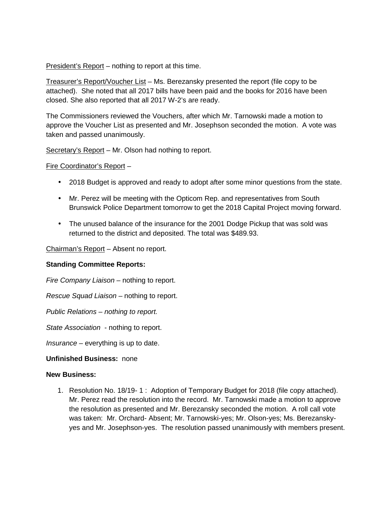President's Report – nothing to report at this time.

Treasurer's Report/Voucher List – Ms. Berezansky presented the report (file copy to be attached). She noted that all 2017 bills have been paid and the books for 2016 have been closed. She also reported that all 2017 W-2's are ready.

The Commissioners reviewed the Vouchers, after which Mr. Tarnowski made a motion to approve the Voucher List as presented and Mr. Josephson seconded the motion. A vote was taken and passed unanimously.

Secretary's Report – Mr. Olson had nothing to report.

Fire Coordinator's Report –

- 2018 Budget is approved and ready to adopt after some minor questions from the state.
- Mr. Perez will be meeting with the Opticom Rep. and representatives from South Brunswick Police Department tomorrow to get the 2018 Capital Project moving forward.
- The unused balance of the insurance for the 2001 Dodge Pickup that was sold was returned to the district and deposited. The total was \$489.93.

Chairman's Report - Absent no report.

# **Standing Committee Reports:**

*Fire Company Liaison –* nothing to report.

*Rescue Squad Liaison –* nothing to report.

*Public Relations – nothing to report.*

*State Association* - nothing to report.

*Insurance –* everything is up to date.

# **Unfinished Business:** none

### **New Business:**

1. Resolution No. 18/19- 1 : Adoption of Temporary Budget for 2018 (file copy attached). Mr. Perez read the resolution into the record. Mr. Tarnowski made a motion to approve the resolution as presented and Mr. Berezansky seconded the motion. A roll call vote was taken: Mr. Orchard- Absent; Mr. Tarnowski-yes; Mr. Olson-yes; Ms. Berezansky yes and Mr. Josephson-yes. The resolution passed unanimously with members present.